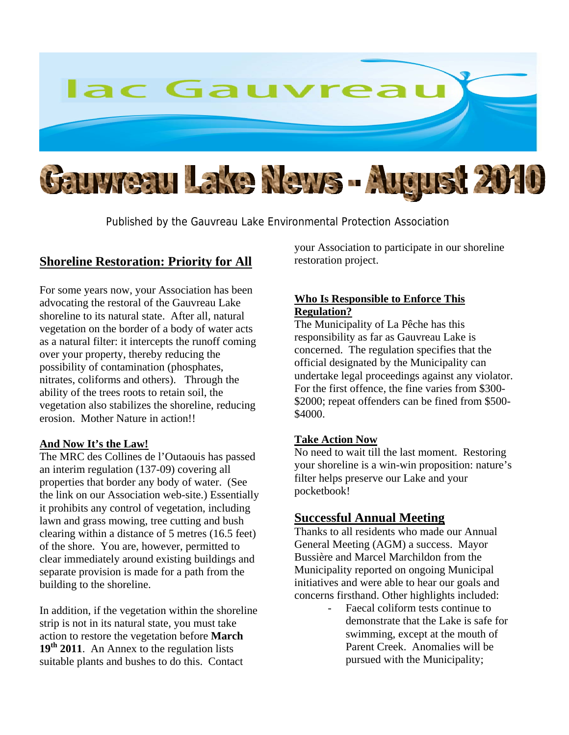

Published by the Gauvreau Lake Environmental Protection Association

## **Shoreline Restoration: Priority for All**

For some years now, your Association has been advocating the restoral of the Gauvreau Lake shoreline to its natural state. After all, natural vegetation on the border of a body of water acts as a natural filter: it intercepts the runoff coming over your property, thereby reducing the possibility of contamination (phosphates, nitrates, coliforms and others). Through the ability of the trees roots to retain soil, the vegetation also stabilizes the shoreline, reducing erosion. Mother Nature in action!!

#### **And Now It's the Law!**

The MRC des Collines de l'Outaouis has passed an interim regulation (137-09) covering all properties that border any body of water. (See the link on our Association web-site.) Essentially it prohibits any control of vegetation, including lawn and grass mowing, tree cutting and bush clearing within a distance of 5 metres (16.5 feet) of the shore. You are, however, permitted to clear immediately around existing buildings and separate provision is made for a path from the building to the shoreline.

In addition, if the vegetation within the shoreline strip is not in its natural state, you must take action to restore the vegetation before **March**  19<sup>th</sup> 2011. An Annex to the regulation lists suitable plants and bushes to do this. Contact

your Association to participate in our shoreline restoration project.

### **Who Is Responsible to Enforce This Regulation?**

The Municipality of La Pêche has this responsibility as far as Gauvreau Lake is concerned. The regulation specifies that the official designated by the Municipality can undertake legal proceedings against any violator. For the first offence, the fine varies from \$300- \$2000; repeat offenders can be fined from \$500- \$4000.

#### **Take Action Now**

No need to wait till the last moment. Restoring your shoreline is a win-win proposition: nature's filter helps preserve our Lake and your pocketbook!

### **Successful Annual Meeting**

Thanks to all residents who made our Annual General Meeting (AGM) a success. Mayor Bussière and Marcel Marchildon from the Municipality reported on ongoing Municipal initiatives and were able to hear our goals and concerns firsthand. Other highlights included:

Faecal coliform tests continue to demonstrate that the Lake is safe for swimming, except at the mouth of Parent Creek. Anomalies will be pursued with the Municipality;